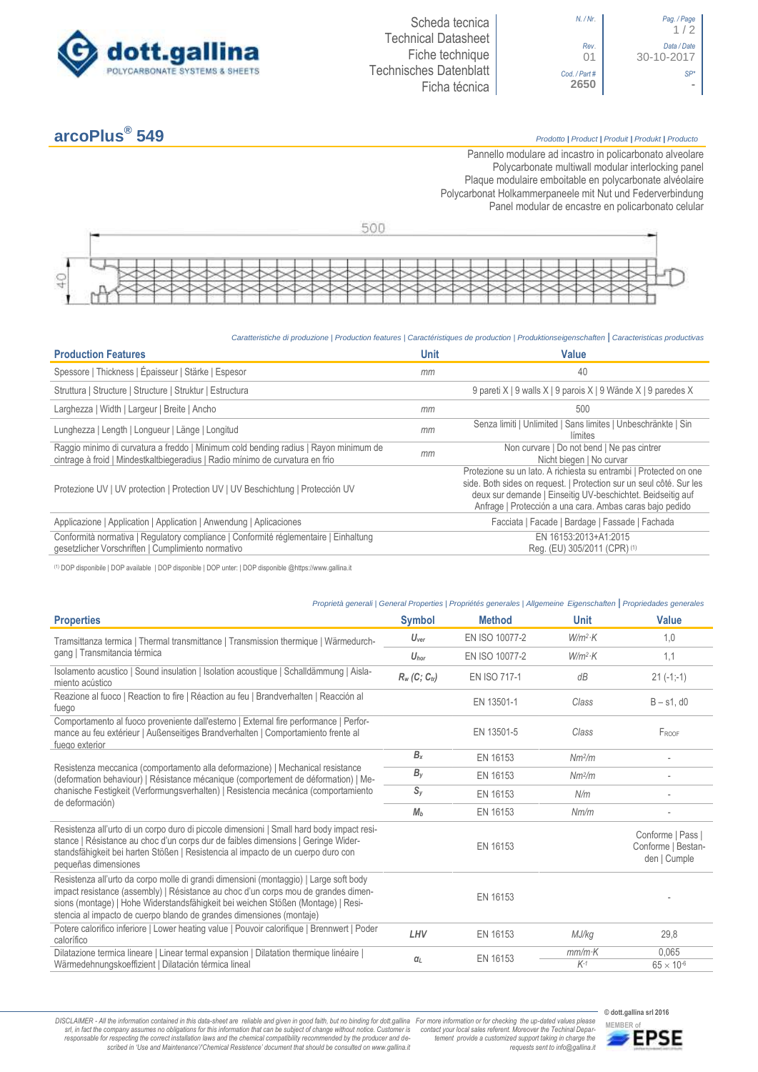

## **arcoPlus®**

## **549** *Prodotto <sup>|</sup> Product <sup>|</sup> Produit <sup>|</sup> Produkt <sup>|</sup> Producto*

1 / 2

30-10-2017

Pannello modulare ad incastro in policarbonato alveolare Polycarbonate multiwall modular interlocking panel Plaque modulaire emboitable en polycarbonate alvéolaire Polycarbonat Holkammerpaneele mit Nut und Federverbindung [Panel modular de encastre en policarbonato c](http://www.google.it/url?sa=t&rct=j&q=&esrc=s&source=web&cd=6&ved=0ahUKEwiPyOW6w_3PAhXLORoKHXbkAhUQFggtMAU&url=http%3A%2F%2Fwww.getsl.com%2Fes%2Fmateriales-construccion%2Fsabic-policarbonato%2Fplaca-solida%2Flexan-exell-d-placa-translucida%2F&usg=AFQjCNF4aMpg9CRcF79iWWH-XBKKMH3eWA&bvm=bv.136811127,d.bGs)elular



*Caratteristiche di produzione | Production features | Caractéristiques de production | Produktionseigenschaften* **|** *Caracteristicas productivas*

| <b>Production Features</b>                                                                                                                                            | <b>Unit</b> | Value                                                                                                                                                                                                                                                               |
|-----------------------------------------------------------------------------------------------------------------------------------------------------------------------|-------------|---------------------------------------------------------------------------------------------------------------------------------------------------------------------------------------------------------------------------------------------------------------------|
| Spessore   Thickness   Épaisseur   Stärke   Espesor                                                                                                                   | mm          | 40                                                                                                                                                                                                                                                                  |
| Struttura   Structure   Structure   Struktur   Estructura                                                                                                             |             | 9 pareti X   9 walls X   9 parois X   9 Wände X   9 paredes X                                                                                                                                                                                                       |
| Larghezza   Width   Largeur   Breite   Ancho                                                                                                                          | mm          | 500                                                                                                                                                                                                                                                                 |
| Lunghezza   Length   Longueur   Länge   Longitud                                                                                                                      | mm          | Senza limiti   Unlimited   Sans limites   Unbeschränkte   Sin<br>límites                                                                                                                                                                                            |
| Raggio minimo di curvatura a freddo   Minimum cold bending radius   Rayon minimum de<br>cintrage à froid   Mindestkaltbiegeradius   Radio mínimo de curvatura en frio | mm          | Non curvare   Do not bend   Ne pas cintrer<br>Nicht biegen   No curvar                                                                                                                                                                                              |
| Protezione UV   UV protection   Protection UV   UV Beschichtung   Protección UV                                                                                       |             | Protezione su un lato. A richiesta su entrambi   Protected on one<br>side. Both sides on request.   Protection sur un seul côté. Sur les<br>deux sur demande   Einseitig UV-beschichtet. Beidseitig auf<br>Anfrage   Protección a una cara. Ambas caras bajo pedido |
| Applicazione   Application   Application   Anwendung   Aplicaciones                                                                                                   |             | Facciata   Facade   Bardage   Fassade   Fachada                                                                                                                                                                                                                     |
| Conformità normativa   Regulatory compliance   Conformité réglementaire   Einhaltung<br>qesetzlicher Vorschriften   Cumplimiento normativo                            |             | EN 16153:2013+A1:2015<br>Reg. (EU) 305/2011 (CPR) (1)                                                                                                                                                                                                               |

(1) DOP disponibile | DOP available | DOP disponible | DOP unter: | DOP disponible @https://www.gallina.it

## *Proprietà generali | General Properties | Propriétés generales | Allgemeine Eigenschaften* **|** *Propriedades generales*

| <b>Properties</b>                                                                                                                                                                                                                                                                                                                       | <b>Symbol</b>               | <b>Method</b>  | <b>Unit</b>        | <b>Value</b>                                            |
|-----------------------------------------------------------------------------------------------------------------------------------------------------------------------------------------------------------------------------------------------------------------------------------------------------------------------------------------|-----------------------------|----------------|--------------------|---------------------------------------------------------|
| Tramsittanza termica   Thermal transmittance   Transmission thermique   Wärmedurch-                                                                                                                                                                                                                                                     | $U_{\text{ver}}$            | EN ISO 10077-2 | $W/m^2$ ·K         | 1,0                                                     |
| gang   Transmitancia térmica                                                                                                                                                                                                                                                                                                            | $U_{\text{hor}}$            | EN ISO 10077-2 | $W/m^2$ K          | 1,1                                                     |
| Isolamento acustico   Sound insulation   Isolation acoustique   Schalldämmung   Aisla-<br>miento acústico                                                                                                                                                                                                                               | $R_w$ (C; C <sub>tr</sub> ) | EN ISO 717-1   | dB                 | $21(-1,-1)$                                             |
| Reazione al fuoco   Reaction to fire   Réaction au feu   Brandverhalten   Reacción al<br>fuego                                                                                                                                                                                                                                          |                             | EN 13501-1     | Class              | $B - s1$ , d $0$                                        |
| Comportamento al fuoco proveniente dall'esterno   External fire performance   Perfor-<br>mance au feu extérieur   Außenseitiges Brandverhalten   Comportamiento frente al<br>fuego exterior                                                                                                                                             |                             | EN 13501-5     | Class              | FROOF                                                   |
|                                                                                                                                                                                                                                                                                                                                         | $B_x$                       | EN 16153       | Nm <sup>2</sup> /m |                                                         |
| Resistenza meccanica (comportamento alla deformazione)   Mechanical resistance<br>(deformation behaviour)   Résistance mécanique (comportement de déformation)   Me-<br>chanische Festigkeit (Verformungsverhalten)   Resistencia mecánica (comportamiento                                                                              | $B_{V}$                     | EN 16153       | Nm <sup>2</sup> /m |                                                         |
|                                                                                                                                                                                                                                                                                                                                         | $S_{y}$                     | EN 16153       | N/m                |                                                         |
| de deformación)                                                                                                                                                                                                                                                                                                                         | M <sub>b</sub>              | EN 16153       | Nm/m               |                                                         |
| Resistenza all'urto di un corpo duro di piccole dimensioni   Small hard body impact resi-<br>stance   Résistance au choc d'un corps dur de faibles dimensions   Geringe Wider-<br>standsfähigkeit bei harten Stößen   Resistencia al impacto de un cuerpo duro con<br>pequeñas dimensiones                                              |                             | EN 16153       |                    | Conforme   Pass  <br>Conforme   Bestan-<br>den   Cumple |
| Resistenza all'urto da corpo molle di grandi dimensioni (montaggio)   Large soft body<br>impact resistance (assembly)   Résistance au choc d'un corps mou de grandes dimen-<br>sions (montage)   Hohe Widerstandsfähigkeit bei weichen Stößen (Montage)   Resi-<br>stencia al impacto de cuerpo blando de grandes dimensiones (montaje) |                             | EN 16153       |                    |                                                         |
| Potere calorifico inferiore   Lower heating value   Pouvoir calorifique   Brennwert   Poder<br>calorífico                                                                                                                                                                                                                               | LHV                         | EN 16153       | MJ/kg              | 29,8                                                    |
| Dilatazione termica lineare   Linear termal expansion   Dilatation thermique linéaire  <br>Wärmedehnungskoeffizient   Dilatación térmica lineal                                                                                                                                                                                         | $\alpha_L$                  | EN 16153       | $mm/m$ K<br>$K-1$  | 0,065<br>$65 \times 10^{-6}$                            |

DISCLAIMER - All the information contained in this data-sheet are reliable and given in good faith, but no binding for dott.gallina For more information or for checking the up-dated values please<br>-srl, in fact the company -responsable for respecting the correct installation laws and the chemical compatibility recommended by the producer and de-<br>scribed in 'Use and Maintenance'/'Chemical Resistence' document that should be consulted on www.g

**© dott.gallina srl 2016** *tement provide a customized support taking in charge the requests sent to info@gallina.it*